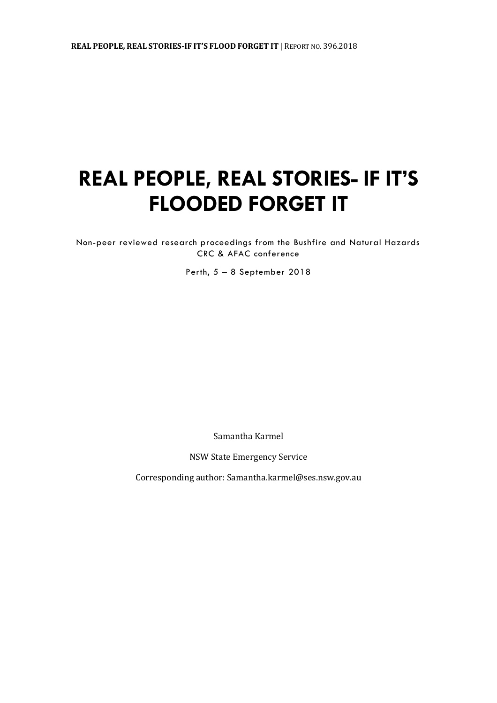# **REAL PEOPLE, REAL STORIES- IF IT'S FLOODED FORGET IT**

Non-peer reviewed research proceedings from the Bushfire and Natural Hazards CRC & AFAC conference

Perth, 5 – 8 September 2018

Samantha Karmel

NSW State Emergency Service

Corresponding author: Samantha.karmel@ses.nsw.gov.au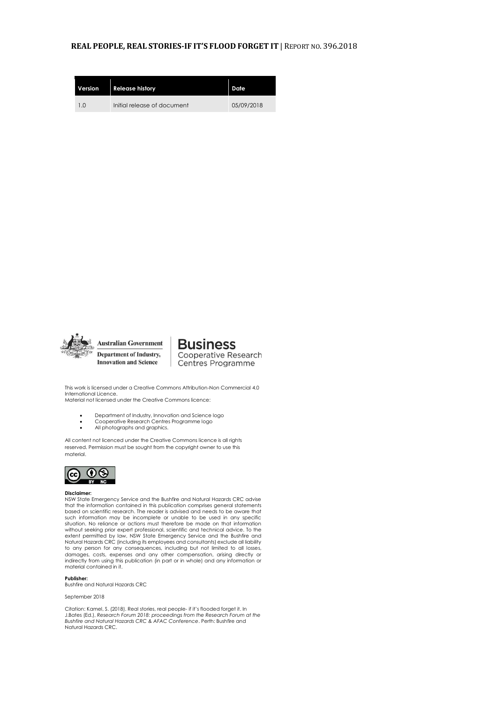#### **REAL PEOPLE, REAL STORIES-IF IT'S FLOOD FORGET IT** | REPORT NO. 396.2018

| Version | <b>Release history</b>      | Date       |
|---------|-----------------------------|------------|
| 1.0     | Initial release of document | 05/09/2018 |



**Australian Government Department of Industry, Innovation and Science** 

**Business** Cooperative Research Centres Programme

This work is licensed under a Creative Commons Attribution-Non Commercial 4.0 International Licence. Material not licensed under the Creative Commons licence:

- Department of Industry, Innovation and Science logo
- Cooperative Research Centres Programme logo<br>• All photographs and graphics
- All photographs and graphics.

All content not licenced under the Creative Commons licence is all rights reserved. Permission must be sought from the copyright owner to use this material.



#### **Disclaimer:**

NSW State Emergency Service and the Bushfire and Natural Hazards CRC advise that the information contained in this publication comprises general statements based on scientific research. The reader is advised and needs to be aware that such information may be incomplete or unable to be used in any specific situation. No reliance or actions must therefore be made on that information without seeking prior expert professional, scientific and technical advice. To the extent permitted by law, NSW State Emergency Service and the Bushfire and<br>Natural Hazards CRC (including its employees and consultants) exclude all liability<br>to any person for any consequences, including but not limited to damages, costs, expenses and any other compensation, arising directly or indirectly from using this publication (in part or in whole) and any information or material contained in it.

**Publisher:**  Bushfire and Natural Hazards CRC

September 2018

Citation: Kamel, S. (2018). Real stories, real people- if it's flooded forget it. In J.Bates (Ed.), *Research Forum 2018: proceedings from the Research Forum at the Bushfire and Natural Hazards CRC & AFAC Conference*. Perth: Bushfire and Natural Hazards CRC.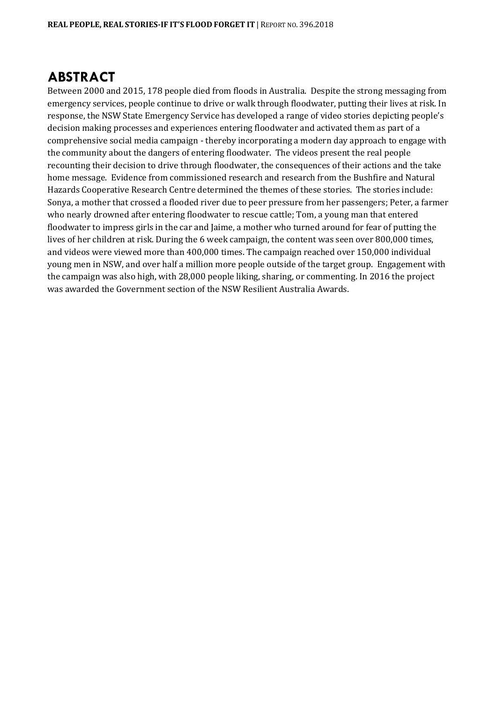### **ABSTRACT**

Between 2000 and 2015, 178 people died from floods in Australia. Despite the strong messaging from emergency services, people continue to drive or walk through floodwater, putting their lives at risk. In response, the NSW State Emergency Service has developed a range of video stories depicting people's decision making processes and experiences entering floodwater and activated them as part of a comprehensive social media campaign - thereby incorporating a modern day approach to engage with the community about the dangers of entering floodwater. The videos present the real people recounting their decision to drive through floodwater, the consequences of their actions and the take home message. Evidence from commissioned research and research from the Bushfire and Natural Hazards Cooperative Research Centre determined the themes of these stories. The stories include: Sonya, a mother that crossed a flooded river due to peer pressure from her passengers; Peter, a farmer who nearly drowned after entering floodwater to rescue cattle; Tom, a young man that entered floodwater to impress girls in the car and Jaime, a mother who turned around for fear of putting the lives of her children at risk. During the 6 week campaign, the content was seen over 800,000 times, and videos were viewed more than 400,000 times. The campaign reached over 150,000 individual young men in NSW, and over half a million more people outside of the target group. Engagement with the campaign was also high, with 28,000 people liking, sharing, or commenting. In 2016 the project was awarded the Government section of the NSW Resilient Australia Awards.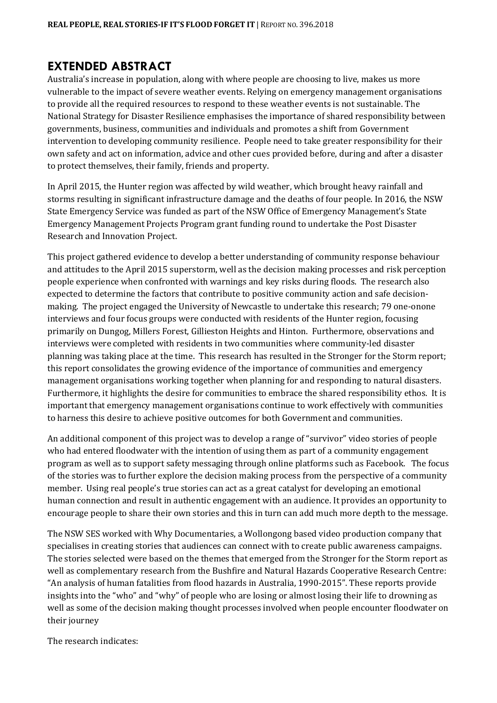#### **EXTENDED ABSTRACT**

Australia's increase in population, along with where people are choosing to live, makes us more vulnerable to the impact of severe weather events. Relying on emergency management organisations to provide all the required resources to respond to these weather events is not sustainable. The National Strategy for Disaster Resilience emphasises the importance of shared responsibility between governments, business, communities and individuals and promotes a shift from Government intervention to developing community resilience. People need to take greater responsibility for their own safety and act on information, advice and other cues provided before, during and after a disaster to protect themselves, their family, friends and property.

In April 2015, the Hunter region was affected by wild weather, which brought heavy rainfall and storms resulting in significant infrastructure damage and the deaths of four people. In 2016, the NSW State Emergency Service was funded as part of the NSW Office of Emergency Management's State Emergency Management Projects Program grant funding round to undertake the Post Disaster Research and Innovation Project.

This project gathered evidence to develop a better understanding of community response behaviour and attitudes to the April 2015 superstorm, well as the decision making processes and risk perception people experience when confronted with warnings and key risks during floods. The research also expected to determine the factors that contribute to positive community action and safe decisionmaking. The project engaged the University of Newcastle to undertake this research; 79 one-onone interviews and four focus groups were conducted with residents of the Hunter region, focusing primarily on Dungog, Millers Forest, Gillieston Heights and Hinton. Furthermore, observations and interviews were completed with residents in two communities where community-led disaster planning was taking place at the time. This research has resulted in the Stronger for the Storm report; this report consolidates the growing evidence of the importance of communities and emergency management organisations working together when planning for and responding to natural disasters. Furthermore, it highlights the desire for communities to embrace the shared responsibility ethos. It is important that emergency management organisations continue to work effectively with communities to harness this desire to achieve positive outcomes for both Government and communities.

An additional component of this project was to develop a range of "survivor" video stories of people who had entered floodwater with the intention of using them as part of a community engagement program as well as to support safety messaging through online platforms such as Facebook. The focus of the stories was to further explore the decision making process from the perspective of a community member. Using real people's true stories can act as a great catalyst for developing an emotional human connection and result in authentic engagement with an audience. It provides an opportunity to encourage people to share their own stories and this in turn can add much more depth to the message.

The NSW SES worked with Why Documentaries, a Wollongong based video production company that specialises in creating stories that audiences can connect with to create public awareness campaigns. The stories selected were based on the themes that emerged from the Stronger for the Storm report as well as complementary research from the Bushfire and Natural Hazards Cooperative Research Centre: "An analysis of human fatalities from flood hazards in Australia, 1990-2015". These reports provide insights into the "who" and "why" of people who are losing or almost losing their life to drowning as well as some of the decision making thought processes involved when people encounter floodwater on their journey

The research indicates: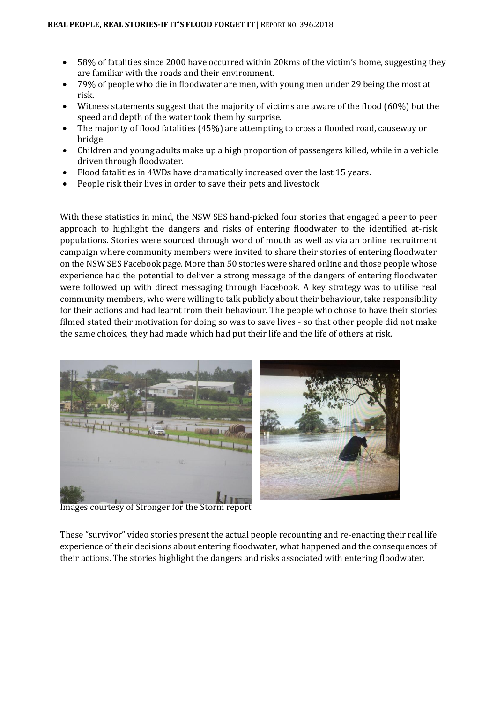- 58% of fatalities since 2000 have occurred within 20kms of the victim's home, suggesting they are familiar with the roads and their environment.
- 79% of people who die in floodwater are men, with young men under 29 being the most at risk.
- Witness statements suggest that the majority of victims are aware of the flood (60%) but the speed and depth of the water took them by surprise.
- The majority of flood fatalities (45%) are attempting to cross a flooded road, causeway or bridge.
- Children and young adults make up a high proportion of passengers killed, while in a vehicle driven through floodwater.
- Flood fatalities in 4WDs have dramatically increased over the last 15 years.
- People risk their lives in order to save their pets and livestock

With these statistics in mind, the NSW SES hand-picked four stories that engaged a peer to peer approach to highlight the dangers and risks of entering floodwater to the identified at-risk populations. Stories were sourced through word of mouth as well as via an online recruitment campaign where community members were invited to share their stories of entering floodwater on the NSW SES Facebook page. More than 50 stories were shared online and those people whose experience had the potential to deliver a strong message of the dangers of entering floodwater were followed up with direct messaging through Facebook. A key strategy was to utilise real community members, who were willing to talk publicly about their behaviour, take responsibility for their actions and had learnt from their behaviour. The people who chose to have their stories filmed stated their motivation for doing so was to save lives - so that other people did not make the same choices, they had made which had put their life and the life of others at risk.



Images courtesy of Stronger for the Storm report

These "survivor" video stories present the actual people recounting and re-enacting their real life experience of their decisions about entering floodwater, what happened and the consequences of their actions. The stories highlight the dangers and risks associated with entering floodwater.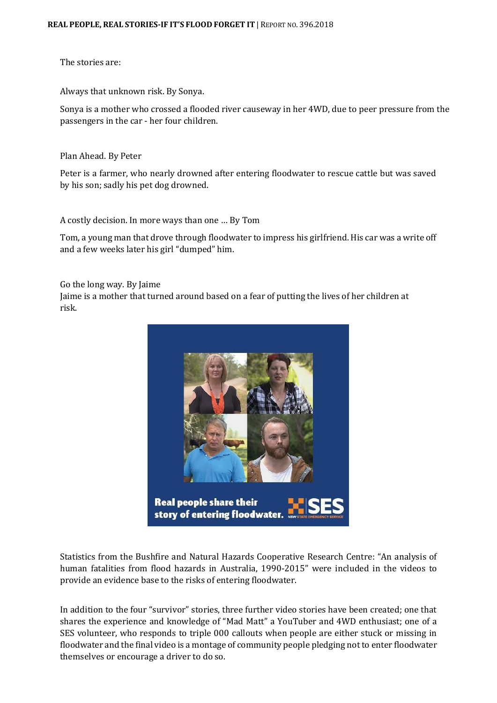The stories are:

[Always that unknown risk.](http://bit.ly/2sWse5D) By Sonya.

Sonya is a mother who crossed a flooded river causeway in her 4WD, due to peer pressure from the passengers in the car - her four children.

[Plan Ahead.](http://bit.ly/2tvxkD7) By Peter

risk.

Peter is a farmer, who nearly drowned after entering floodwater to rescue cattle but was saved by his son; sadly his pet dog drowned.

[A costly decision. In more ways than one](http://bit.ly/2rTFVSK) … By Tom

Tom, a young man that drove through floodwater to impress his girlfriend. His car was a write off and a few weeks later his girl "dumped" him.

[Go the long way.](http://bit.ly/2sSgMXV) By Jaime Jaime is a mother that turned around based on a fear of putting the lives of her children at

> **Real people share their** story of entering floodwater.

Statistics from the Bushfire and Natural Hazards Cooperative Research Centre: "An analysis of human fatalities from flood hazards in Australia, 1990-2015" were included in the videos to provide an evidence base to the risks of entering floodwater.

In addition to the four "survivor" stories, three further video stories have been created; one that shares the experience and knowledge of "Mad Matt" a YouTuber and 4WD enthusiast; one of a SES volunteer, who responds to triple 000 callouts when people are either stuck or missing in floodwater and the final video is a montage of community people pledging not to enter floodwater themselves or encourage a driver to do so.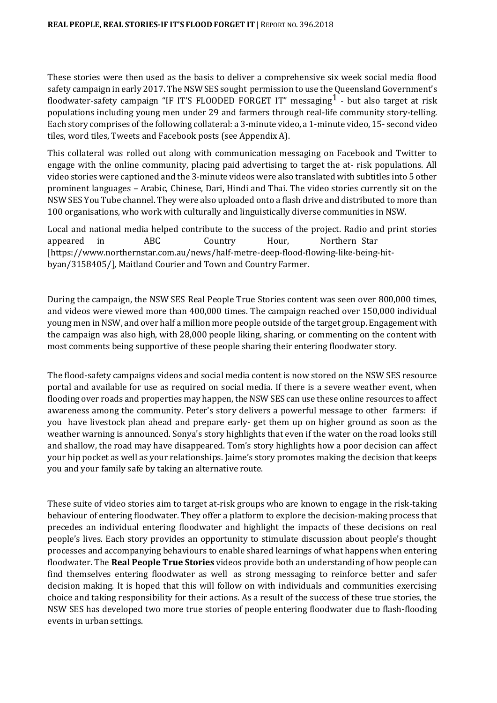These stories were then used as the basis to deliver a comprehensive six week social media flood safety campaign in early 2017. The NSW SES sought permission to use the Queensland Government's floodwater-safety campaign "IF IT'S FLOODED FORGET IT" messaging $^1$  - but also target at risk populations including young men under 29 and farmers through real-life community story-telling. Each story comprises of the following collateral: a 3-minute video, a 1-minute video, 15- second video tiles, word tiles, Tweets and Facebook posts (see Appendix A).

This collateral was rolled out along with communication messaging on Facebook and Twitter to engage with the online community, placing paid advertising to target the at- risk populations. All video stories were captioned and the 3-minute videos were also translated with subtitles into 5 other prominent languages – Arabic, Chinese, Dari, Hindi and Thai. The video stories currently sit on the NSW SES You Tube channel. They were also uploaded onto a flash drive and distributed to more than 100 organisations, who work with culturally and linguistically diverse communities in NSW.

Local and national media helped contribute to the success of the project. Radio and print stories appeared in ABC Country Hour, Northern Star [https:[//www.northernstar.com.au/news/half-metre-deep-flood-flowing-like-being-hit](http://www.northernstar.com.au/news/half-metre-deep-flood-flowing-like-being-hit-)byan/3158405/], Maitland Courier and Town and Country Farmer.

During the campaign, the NSW SES Real People True Stories content was seen over 800,000 times, and videos were viewed more than 400,000 times. The campaign reached over 150,000 individual young men in NSW, and over half a million more people outside of the target group. Engagement with the campaign was also high, with 28,000 people liking, sharing, or commenting on the content with most comments being supportive of these people sharing their entering floodwater story.

The flood-safety campaigns videos and social media content is now stored on the NSW SES resource portal and available for use as required on social media. If there is a severe weather event, when flooding over roads and properties may happen, the NSW SES can use these online resources to affect awareness among the community. Peter's story delivers a powerful message to other farmers: if you have livestock plan ahead and prepare early- get them up on higher ground as soon as the weather warning is announced. Sonya's story highlights that even if the water on the road looks still and shallow, the road may have disappeared. Tom's story highlights how a poor decision can affect your hip pocket as well as your relationships. Jaime's story promotes making the decision that keeps you and your family safe by taking an alternative route.

These suite of video stories aim to target at-risk groups who are known to engage in the risk-taking behaviour of entering floodwater. They offer a platform to explore the decision-making process that precedes an individual entering floodwater and highlight the impacts of these decisions on real people's lives. Each story provides an opportunity to stimulate discussion about people's thought processes and accompanying behaviours to enable shared learnings of what happens when entering floodwater. The **Real People True Stories** videos provide both an understanding of how people can find themselves entering floodwater as well as strong messaging to reinforce better and safer decision making. It is hoped that this will follow on with individuals and communities exercising choice and taking responsibility for their actions. As a result of the success of these true stories, the NSW SES has developed two more true stories of people entering floodwater due to flash-flooding events in urban settings.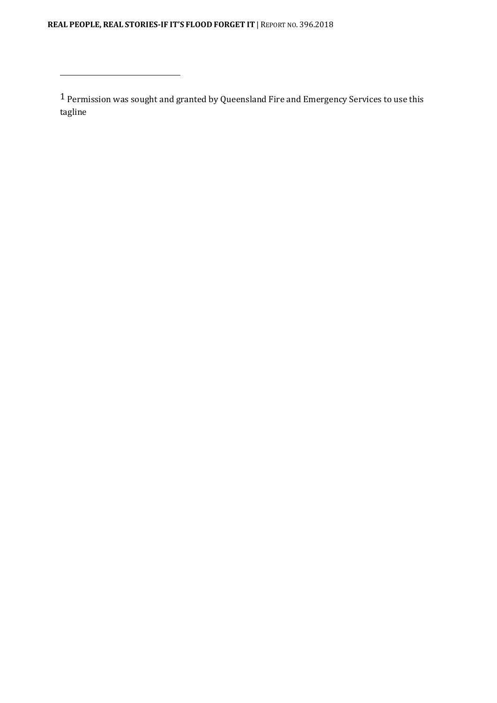**REAL PEOPLE, REAL STORIES-IF IT'S FLOOD FORGET IT** | REPORT NO. 396.2018

 $\sqrt{1}$  Permission was sought and granted by Queensland Fire and Emergency Services to use this tagline